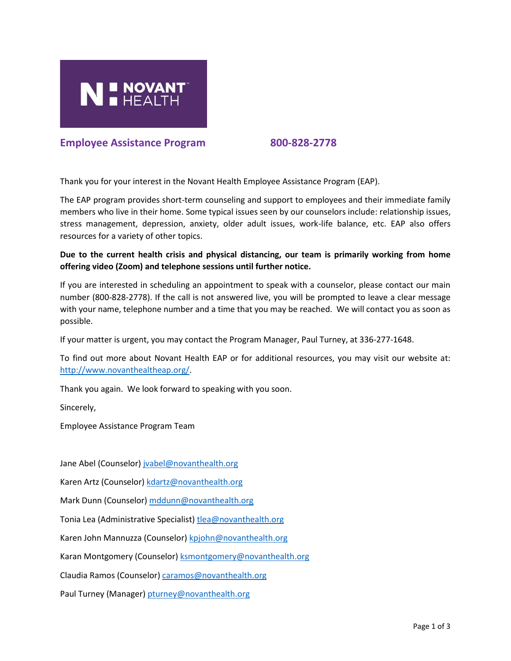

# **Employee Assistance Program 800-828-2778**

Thank you for your interest in the Novant Health Employee Assistance Program (EAP).

The EAP program provides short-term counseling and support to employees and their immediate family members who live in their home. Some typical issues seen by our counselors include: relationship issues, stress management, depression, anxiety, older adult issues, work-life balance, etc. EAP also offers resources for a variety of other topics.

# **Due to the current health crisis and physical distancing, our team is primarily working from home offering video (Zoom) and telephone sessions until further notice.**

If you are interested in scheduling an appointment to speak with a counselor, please contact our main number (800-828-2778). If the call is not answered live, you will be prompted to leave a clear message with your name, telephone number and a time that you may be reached. We will contact you as soon as possible.

If your matter is urgent, you may contact the Program Manager, Paul Turney, at 336-277-1648.

To find out more about Novant Health EAP or for additional resources, you may visit our website at: [http://www.novanthealtheap.org/.](http://www.novanthealtheap.org/)

Thank you again. We look forward to speaking with you soon.

Sincerely,

Employee Assistance Program Team

Jane Abel (Counselor[\) jvabel@novanthealth.org](mailto:jvabel@novanthealth.org)

Karen Artz (Counselor[\) kdartz@novanthealth.org](mailto:kdartz@novanthealth.org)

Mark Dunn (Counselor) [mddunn@novanthealth.org](mailto:mddunn@novanthealth.org)

Tonia Lea (Administrative Specialist) [tlea@novanthealth.org](mailto:tlea@novanthealth.org)

Karen John Mannuzza (Counselor[\) kpjohn@novanthealth.org](mailto:kpjohn@novanthealth.org)

Karan Montgomery (Counselor) [ksmontgomery@novanthealth.org](mailto:ksmontgomery@novanthealth.org)

Claudia Ramos (Counselor[\) caramos@novanthealth.org](mailto:caramos@novanthealth.org)

Paul Turney (Manager) [pturney@novanthealth.org](mailto:pturney@novanthealth.org)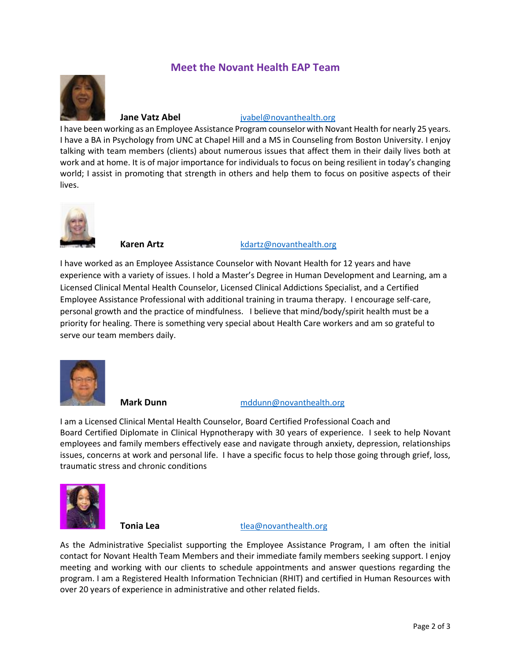# **Meet the Novant Health EAP Team**



# **Jane Vatz Abel ivabel@novanthealth.org**

I have been working as an Employee Assistance Program counselor with Novant Health for nearly 25 years. I have a BA in Psychology from UNC at Chapel Hill and a MS in Counseling from Boston University. I enjoy talking with team members (clients) about numerous issues that affect them in their daily lives both at work and at home. It is of major importance for individuals to focus on being resilient in today's changing world; I assist in promoting that strength in others and help them to focus on positive aspects of their lives.



### **Karen Artz Karen Artz** [kdartz@novanthealth.org](mailto:kdartz@novanthealth.org)

I have worked as an Employee Assistance Counselor with Novant Health for 12 years and have experience with a variety of issues. I hold a Master's Degree in Human Development and Learning, am a Licensed Clinical Mental Health Counselor, Licensed Clinical Addictions Specialist, and a Certified Employee Assistance Professional with additional training in trauma therapy. I encourage self-care, personal growth and the practice of mindfulness. I believe that mind/body/spirit health must be a priority for healing. There is something very special about Health Care workers and am so grateful to serve our team members daily.



### **Mark Dunn** [mddunn@novanthealth.org](mailto:mddunn@novanthealth.org)

I am a Licensed Clinical Mental Health Counselor, Board Certified Professional Coach and Board Certified Diplomate in Clinical Hypnotherapy with 30 years of experience. I seek to help Novant employees and family members effectively ease and navigate through anxiety, depression, relationships issues, concerns at work and personal life. I have a specific focus to help those going through grief, loss, traumatic stress and chronic conditions



### **Tonia Lea** [tlea@novanthealth.org](mailto:tlea@novanthealth.org)

As the Administrative Specialist supporting the Employee Assistance Program, I am often the initial contact for Novant Health Team Members and their immediate family members seeking support. I enjoy meeting and working with our clients to schedule appointments and answer questions regarding the program. I am a Registered Health Information Technician (RHIT) and certified in Human Resources with over 20 years of experience in administrative and other related fields.